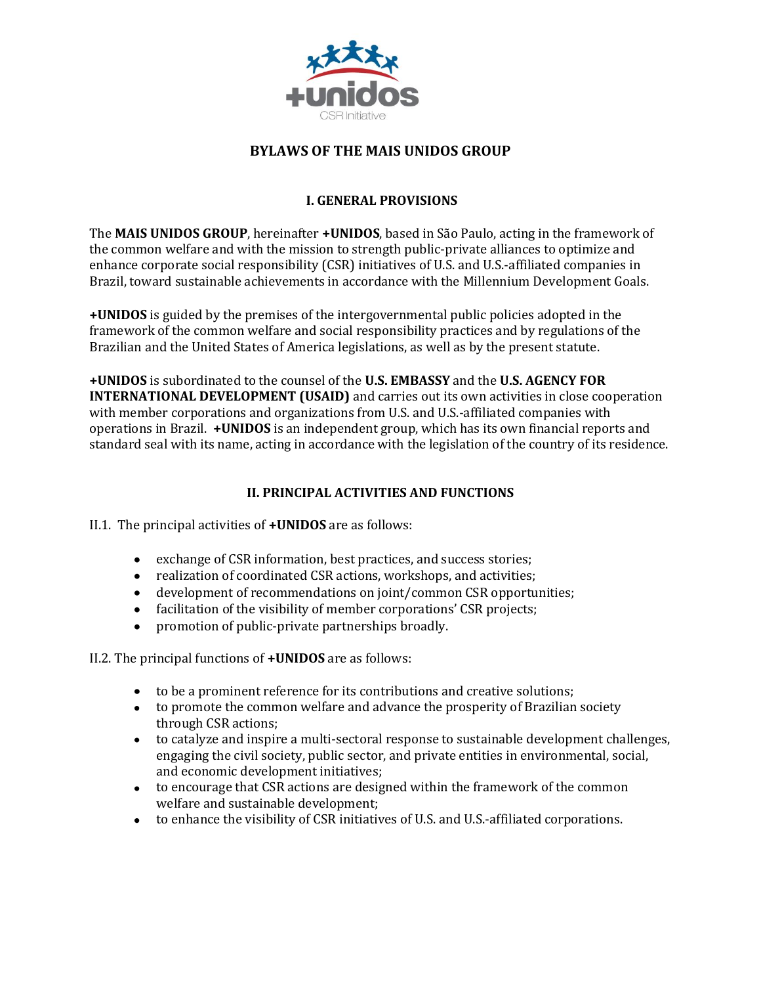

# **BYLAWS OF THE MAIS UNIDOS GROUP**

## **I. GENERAL PROVISIONS**

The **MAIS UNIDOS GROUP**, hereinafter **+UNIDOS**, based in São Paulo, acting in the framework of the common welfare and with the mission to strength public-private alliances to optimize and enhance corporate social responsibility (CSR) initiatives of U.S. and U.S.-affiliated companies in Brazil, toward sustainable achievements in accordance with the Millennium Development Goals.

**+UNIDOS** is guided by the premises of the intergovernmental public policies adopted in the framework of the common welfare and social responsibility practices and by regulations of the Brazilian and the United States of America legislations, as well as by the present statute.

**+UNIDOS** is subordinated to the counsel of the **U.S. EMBASSY** and the **U.S. AGENCY FOR INTERNATIONAL DEVELOPMENT (USAID)** and carries out its own activities in close cooperation with member corporations and organizations from U.S. and U.S.-affiliated companies with operations in Brazil. **+UNIDOS** is an independent group, which has its own financial reports and standard seal with its name, acting in accordance with the legislation of the country of its residence.

### **II. PRINCIPAL ACTIVITIES AND FUNCTIONS**

II.1. The principal activities of **+UNIDOS** are as follows:

- exchange of CSR information, best practices, and success stories;
- realization of coordinated CSR actions, workshops, and activities;
- development of recommendations on joint/common CSR opportunities;
- facilitation of the visibility of member corporations' CSR projects;
- promotion of public-private partnerships broadly.

II.2. The principal functions of **+UNIDOS** are as follows:

- to be a prominent reference for its contributions and creative solutions;
- to promote the common welfare and advance the prosperity of Brazilian society through CSR actions;
- to catalyze and inspire a multi-sectoral response to sustainable development challenges, engaging the civil society, public sector, and private entities in environmental, social, and economic development initiatives;
- to encourage that CSR actions are designed within the framework of the common welfare and sustainable development;
- to enhance the visibility of CSR initiatives of U.S. and U.S.-affiliated corporations.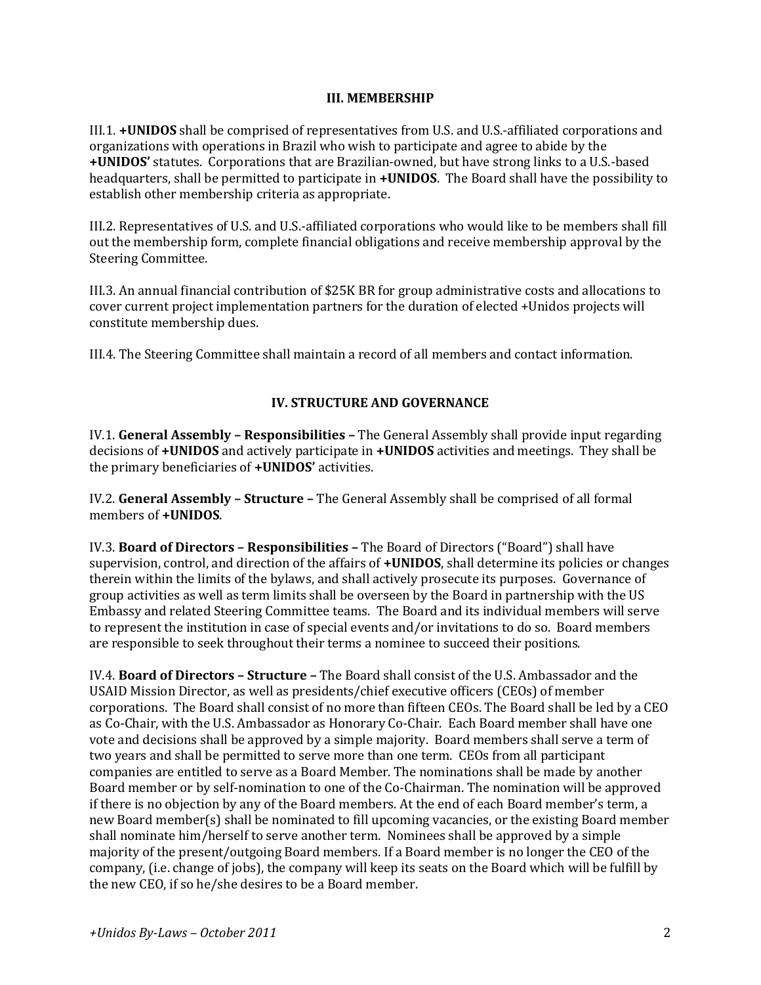#### **III. MEMBERSHIP**

III.1. **+UNIDOS** shall be comprised of representatives from U.S. and U.S.-affiliated corporations and organizations with operations in Brazil who wish to participate and agree to abide by the **+UNIDOS'** statutes. Corporations that are Brazilian-owned, but have strong links to a U.S.-based headquarters, shall be permitted to participate in **+UNIDOS**. The Board shall have the possibility to establish other membership criteria as appropriate.

III.2. Representatives of U.S. and U.S.-affiliated corporations who would like to be members shall fill out the membership form, complete financial obligations and receive membership approval by the Steering Committee.

III.3. An annual financial contribution of \$25K BR for group administrative costs and allocations to cover current project implementation partners for the duration of elected +Unidos projects will constitute membership dues.

III.4. The Steering Committee shall maintain a record of all members and contact information.

### **IV. STRUCTURE AND GOVERNANCE**

IV.1. **General Assembly – Responsibilities –** The General Assembly shall provide input regarding decisions of **+UNIDOS** and actively participate in **+UNIDOS** activities and meetings. They shall be the primary beneficiaries of **+UNIDOS'** activities.

IV.2. **General Assembly – Structure –** The General Assembly shall be comprised of all formal members of **+UNIDOS**.

IV.3. **Board of Directors – Responsibilities –** The Board of Directors ("Board") shall have supervision, control, and direction of the affairs of **+UNIDOS**, shall determine its policies or changes therein within the limits of the bylaws, and shall actively prosecute its purposes. Governance of group activities as well as term limits shall be overseen by the Board in partnership with the US Embassy and related Steering Committee teams. The Board and its individual members will serve to represent the institution in case of special events and/or invitations to do so. Board members are responsible to seek throughout their terms a nominee to succeed their positions.

IV.4. **Board of Directors – Structure –** The Board shall consist of the U.S. Ambassador and the USAID Mission Director, as well as presidents/chief executive officers (CEOs) of member corporations. The Board shall consist of no more than fifteen CEOs. The Board shall be led by a CEO as Co-Chair, with the U.S. Ambassador as Honorary Co-Chair. Each Board member shall have one vote and decisions shall be approved by a simple majority. Board members shall serve a term of two years and shall be permitted to serve more than one term. CEOs from all participant companies are entitled to serve as a Board Member. The nominations shall be made by another Board member or by self-nomination to one of the Co-Chairman. The nomination will be approved if there is no objection by any of the Board members. At the end of each Board member's term, a new Board member(s) shall be nominated to fill upcoming vacancies, or the existing Board member shall nominate him/herself to serve another term. Nominees shall be approved by a simple majority of the present/outgoing Board members. If a Board member is no longer the CEO of the company, (i.e. change of jobs), the company will keep its seats on the Board which will be fulfill by the new CEO, if so he/she desires to be a Board member.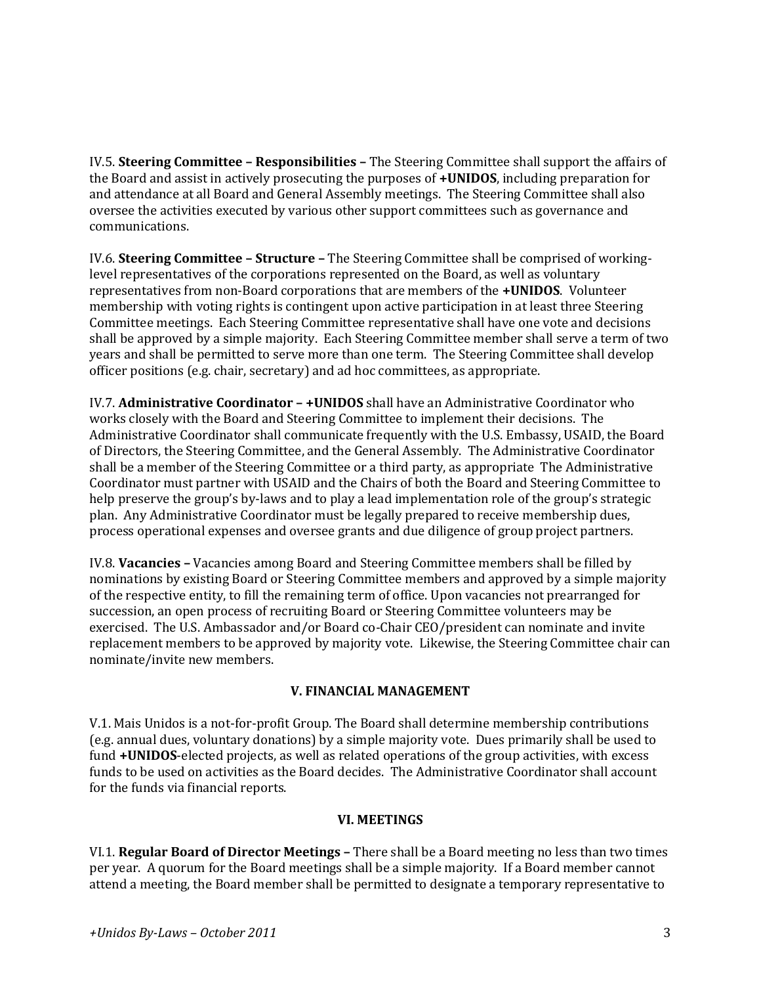IV.5. **Steering Committee – Responsibilities –** The Steering Committee shall support the affairs of the Board and assist in actively prosecuting the purposes of **+UNIDOS**, including preparation for and attendance at all Board and General Assembly meetings. The Steering Committee shall also oversee the activities executed by various other support committees such as governance and communications.

IV.6. **Steering Committee – Structure –** The Steering Committee shall be comprised of workinglevel representatives of the corporations represented on the Board, as well as voluntary representatives from non-Board corporations that are members of the **+UNIDOS**. Volunteer membership with voting rights is contingent upon active participation in at least three Steering Committee meetings. Each Steering Committee representative shall have one vote and decisions shall be approved by a simple majority. Each Steering Committee member shall serve a term of two years and shall be permitted to serve more than one term. The Steering Committee shall develop officer positions (e.g. chair, secretary) and ad hoc committees, as appropriate.

IV.7. **Administrative Coordinator – +UNIDOS** shall have an Administrative Coordinator who works closely with the Board and Steering Committee to implement their decisions. The Administrative Coordinator shall communicate frequently with the U.S. Embassy, USAID, the Board of Directors, the Steering Committee, and the General Assembly. The Administrative Coordinator shall be a member of the Steering Committee or a third party, as appropriate The Administrative Coordinator must partner with USAID and the Chairs of both the Board and Steering Committee to help preserve the group's by-laws and to play a lead implementation role of the group's strategic plan. Any Administrative Coordinator must be legally prepared to receive membership dues, process operational expenses and oversee grants and due diligence of group project partners.

IV.8. **Vacancies –** Vacancies among Board and Steering Committee members shall be filled by nominations by existing Board or Steering Committee members and approved by a simple majority of the respective entity, to fill the remaining term of office. Upon vacancies not prearranged for succession, an open process of recruiting Board or Steering Committee volunteers may be exercised. The U.S. Ambassador and/or Board co-Chair CEO/president can nominate and invite replacement members to be approved by majority vote. Likewise, the Steering Committee chair can nominate/invite new members.

### **V. FINANCIAL MANAGEMENT**

V.1. Mais Unidos is a not-for-profit Group. The Board shall determine membership contributions (e.g. annual dues, voluntary donations) by a simple majority vote. Dues primarily shall be used to fund **+UNIDOS**-elected projects, as well as related operations of the group activities, with excess funds to be used on activities as the Board decides. The Administrative Coordinator shall account for the funds via financial reports.

#### **VI. MEETINGS**

VI.1. **Regular Board of Director Meetings –** There shall be a Board meeting no less than two times per year. A quorum for the Board meetings shall be a simple majority. If a Board member cannot attend a meeting, the Board member shall be permitted to designate a temporary representative to